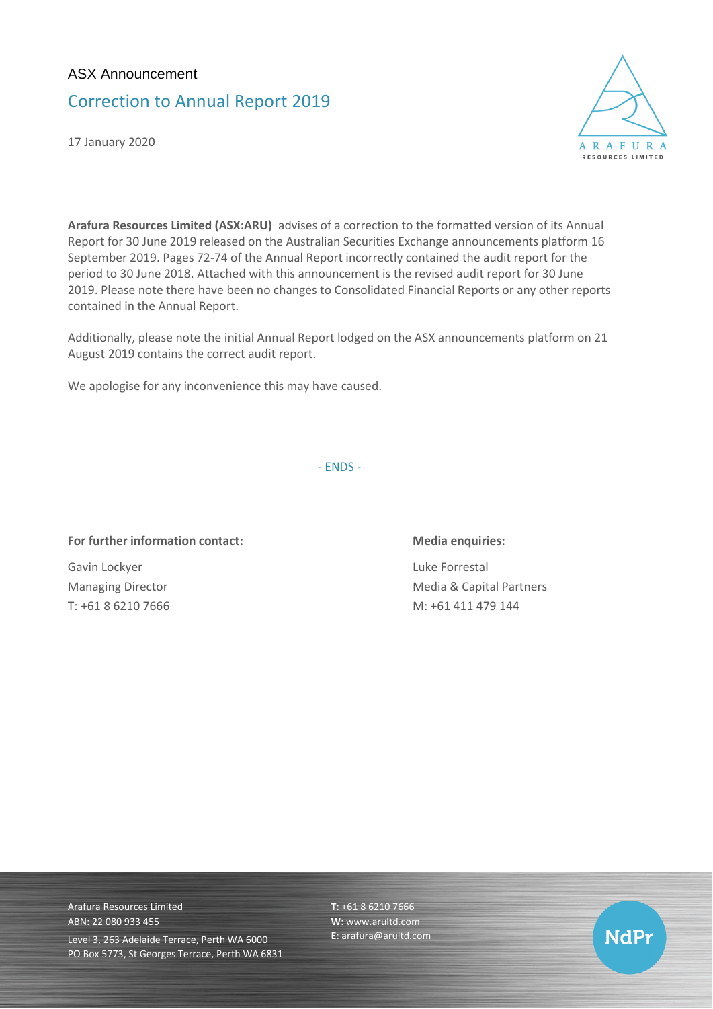## ASX Announcement

# Correction to Annual Report 2019

17 January 2020



**Arafura Resources Limited (ASX:ARU)** advises of a correction to the formatted version of its Annual Report for 30 June 2019 released on the Australian Securities Exchange announcements platform 16 September 2019. Pages 72-74 of the Annual Report incorrectly contained the audit report for the period to 30 June 2018. Attached with this announcement is the revised audit report for 30 June 2019. Please note there have been no changes to Consolidated Financial Reports or any other reports contained in the Annual Report.

Additionally, please note the initial Annual Report lodged on the ASX announcements platform on 21 August 2019 contains the correct audit report.

We apologise for any inconvenience this may have caused.

- ENDS -

### **For further information contact: Media enquiries:**

Gavin Lockyer **Luke Forrestal** 

Managing Director **Managing Director** Media & Capital Partners T: +61 8 6210 7666 M: +61 411 479 144

Arafura Resources Limited ABN: 22 080 933 455 Level 3, 263 Adelaide Terrace, Perth WA 6000 PO Box 5773, St Georges Terrace, Perth WA 6831 **T**: +61 8 6210 7666 **W**: [www.arultd.com](http://www.arultd.com/) **E**[: arafura@arultd.com](mailto:arafura@arultd.com)

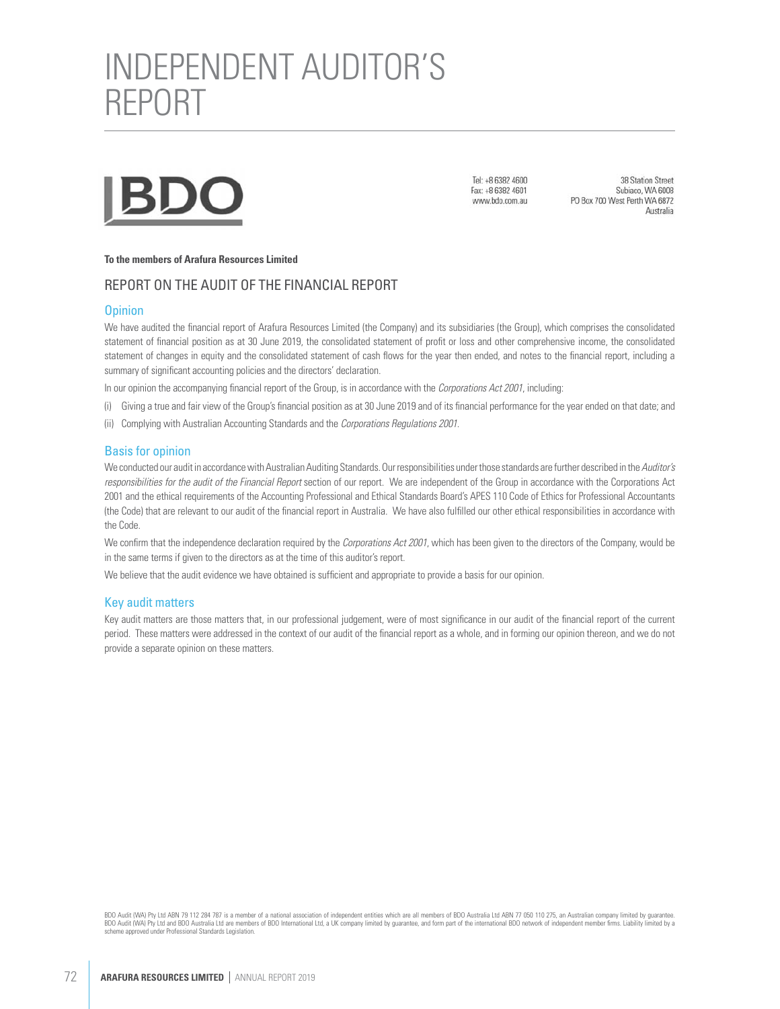

Tel: +8 6382 4600 Fax: +8 6382 4601 www.bdo.com.au

38 Station Street Subiaco, WA 6008 PO Box 700 West Perth WA 6872 Australia

#### **To the members of Arafura Resources Limited**

#### REPORT ON THE AUDIT OF THE FINANCIAL REPORT

#### **Opinion**

We have audited the financial report of Arafura Resources Limited (the Company) and its subsidiaries (the Group), which comprises the consolidated statement of financial position as at 30 June 2019, the consolidated statement of profit or loss and other comprehensive income, the consolidated statement of changes in equity and the consolidated statement of cash flows for the year then ended, and notes to the financial report, including a summary of significant accounting policies and the directors' declaration.

In our opinion the accompanying financial report of the Group, is in accordance with the Corporations Act 2001, including:

- (i) Giving a true and fair view of the Group's financial position as at 30 June 2019 and of its financial performance for the year ended on that date; and
- (ii) Complying with Australian Accounting Standards and the Corporations Regulations 2001.

#### Basis for opinion

We conducted our audit in accordance with Australian Auditing Standards. Our responsibilities under those standards are further described in the Auditor's responsibilities for the audit of the Financial Report section of our report. We are independent of the Group in accordance with the Corporations Act 2001 and the ethical requirements of the Accounting Professional and Ethical Standards Board's APES 110 Code of Ethics for Professional Accountants (the Code) that are relevant to our audit of the financial report in Australia. We have also fulfilled our other ethical responsibilities in accordance with the Code.

We confirm that the independence declaration required by the Corporations Act 2001, which has been given to the directors of the Company, would be in the same terms if given to the directors as at the time of this auditor's report.

We believe that the audit evidence we have obtained is sufficient and appropriate to provide a basis for our opinion.

#### Key audit matters

Key audit matters are those matters that, in our professional judgement, were of most significance in our audit of the financial report of the current period. These matters were addressed in the context of our audit of the financial report as a whole, and in forming our opinion thereon, and we do not provide a separate opinion on these matters.

BDO Audit (WA) Pty Ltd ABN 79 112 284 787 is a member of a national association of independent entities which are all members of BDO Australia Ltd ABN 77 050 110 275, an Australian company limited by quarantee. BDO Audit (WA) Pty Ltd and BDO Australia Ltd are members of BDO International Ltd, a UK company limited by guarantee, and form part of the international BDO network of independent member firms. Liability limited by a scheme approved under Professional Standards Legislation.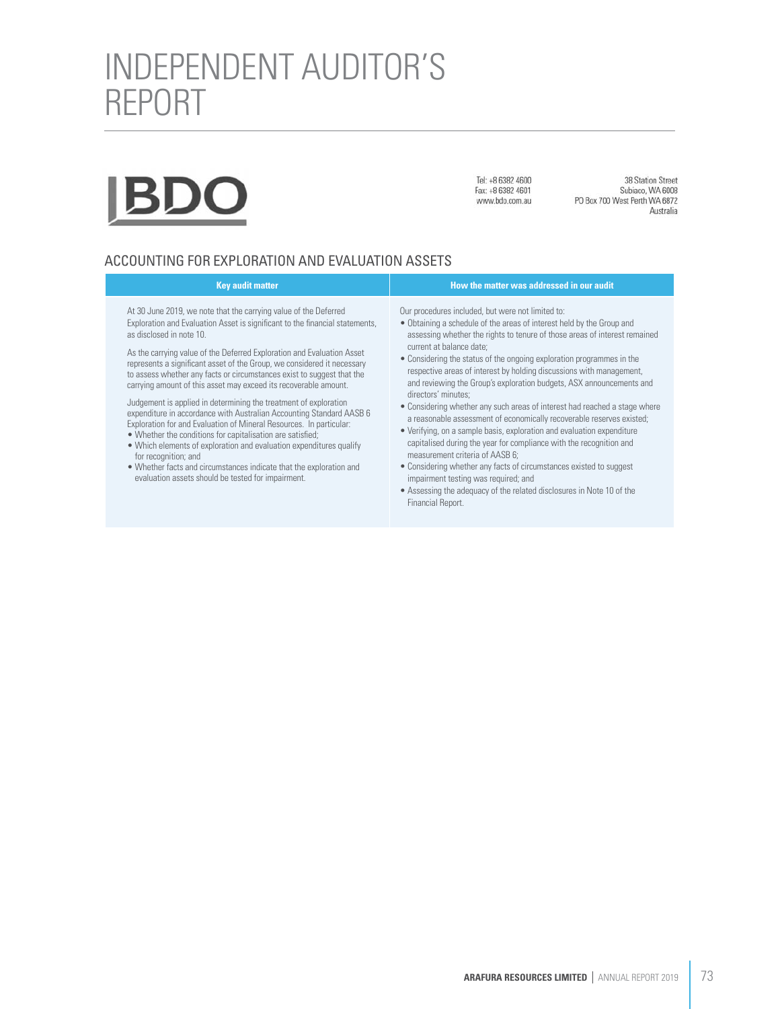Tel: +8 6382 4600 Fax: +8 6382 4601 www.bdo.com.au

38 Station Street Subiaco, WA 6008 PO Box 700 West Perth WA 6872 Australia

### ACCOUNTING FOR EXPLORATION AND EVALUATION ASSETS

#### **Key audit matter How the matter was addressed in our audit**<br>How the matter was addressed in our audit

At 30 June 2019, we note that the carrying value of the Deferred Exploration and Evaluation Asset is significant to the financial statements, as disclosed in note 10.

As the carrying value of the Deferred Exploration and Evaluation Asset represents a significant asset of the Group, we considered it necessary to assess whether any facts or circumstances exist to suggest that the carrying amount of this asset may exceed its recoverable amount.

Judgement is applied in determining the treatment of exploration expenditure in accordance with Australian Accounting Standard AASB 6 Exploration for and Evaluation of Mineral Resources. In particular:

- Whether the conditions for capitalisation are satisfied;
- Which elements of exploration and evaluation expenditures qualify for recognition; and
- Whether facts and circumstances indicate that the exploration and evaluation assets should be tested for impairment.

Our procedures included, but were not limited to:

- Obtaining a schedule of the areas of interest held by the Group and assessing whether the rights to tenure of those areas of interest remained current at balance date;
- Considering the status of the ongoing exploration programmes in the respective areas of interest by holding discussions with management, and reviewing the Group's exploration budgets, ASX announcements and directors' minutes;
- Considering whether any such areas of interest had reached a stage where a reasonable assessment of economically recoverable reserves existed;
- Verifying, on a sample basis, exploration and evaluation expenditure capitalised during the year for compliance with the recognition and measurement criteria of AASB 6;
- Considering whether any facts of circumstances existed to suggest impairment testing was required; and
- Assessing the adequacy of the related disclosures in Note 10 of the Financial Report.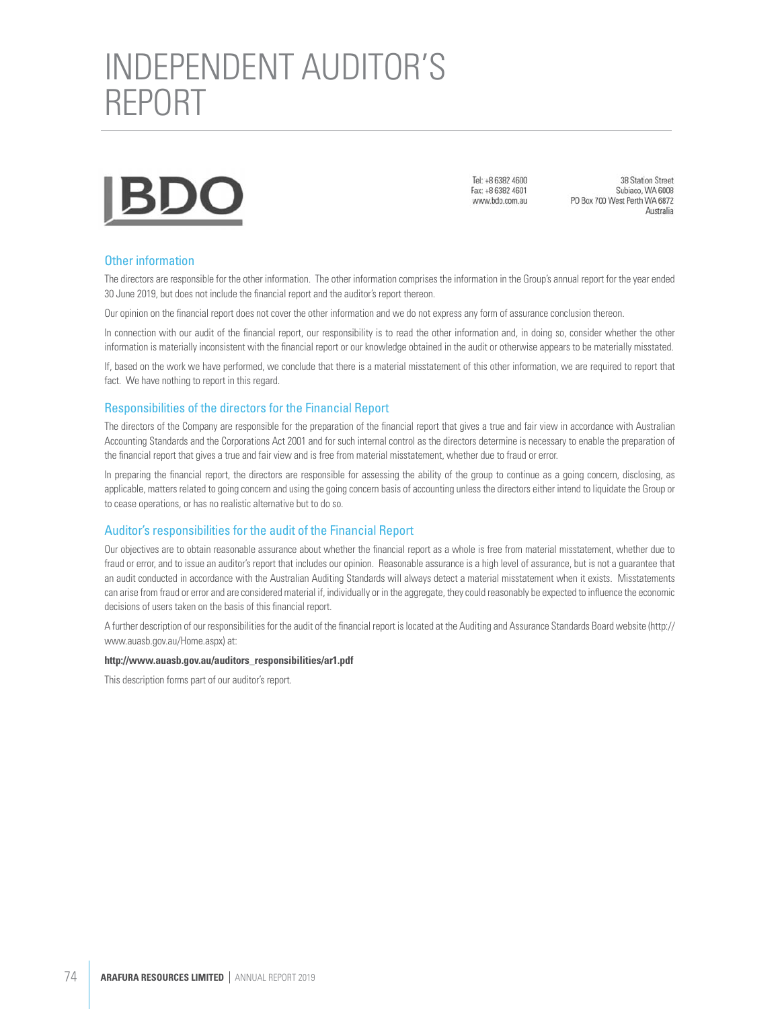

Tel: +8 6382 4600 Fax: +8 6382 4601 www.bdo.com.au

38 Station Street Subiaco, WA 6008 PO Box 700 West Perth WA 6872 Australia

#### Other information

The directors are responsible for the other information. The other information comprises the information in the Group's annual report for the year ended 30 June 2019, but does not include the financial report and the auditor's report thereon.

Our opinion on the financial report does not cover the other information and we do not express any form of assurance conclusion thereon.

In connection with our audit of the financial report, our responsibility is to read the other information and, in doing so, consider whether the other information is materially inconsistent with the financial report or our knowledge obtained in the audit or otherwise appears to be materially misstated.

If, based on the work we have performed, we conclude that there is a material misstatement of this other information, we are required to report that fact. We have nothing to report in this regard.

#### Responsibilities of the directors for the Financial Report

The directors of the Company are responsible for the preparation of the financial report that gives a true and fair view in accordance with Australian Accounting Standards and the Corporations Act 2001 and for such internal control as the directors determine is necessary to enable the preparation of the financial report that gives a true and fair view and is free from material misstatement, whether due to fraud or error.

In preparing the financial report, the directors are responsible for assessing the ability of the group to continue as a going concern, disclosing, as applicable, matters related to going concern and using the going concern basis of accounting unless the directors either intend to liquidate the Group or to cease operations, or has no realistic alternative but to do so.

#### Auditor's responsibilities for the audit of the Financial Report

Our objectives are to obtain reasonable assurance about whether the financial report as a whole is free from material misstatement, whether due to fraud or error, and to issue an auditor's report that includes our opinion. Reasonable assurance is a high level of assurance, but is not a guarantee that an audit conducted in accordance with the Australian Auditing Standards will always detect a material misstatement when it exists. Misstatements can arise from fraud or error and are considered material if, individually or in the aggregate, they could reasonably be expected to influence the economic decisions of users taken on the basis of this financial report.

A further description of our responsibilities for the audit of the financial report is located at the Auditing and Assurance Standards Board website (http:// www.auasb.gov.au/Home.aspx) at:

#### **http://www.auasb.gov.au/auditors\_responsibilities/ar1.pdf**

This description forms part of our auditor's report.